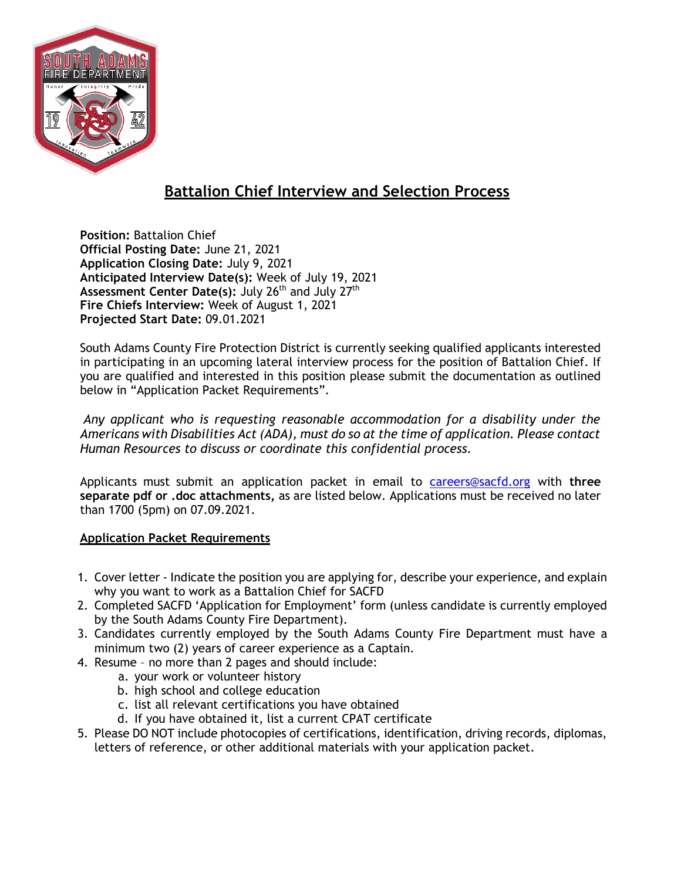

# **Battalion Chief Interview and Selection Process**

**Position:** Battalion Chief **Official Posting Date:** June 21, 2021 **Application Closing Date:** July 9, 2021 **Anticipated Interview Date(s):** Week of July 19, 2021 Assessment Center Date(s): July 26<sup>th</sup> and July 27<sup>th</sup> **Fire Chiefs Interview:** Week of August 1, 2021 **Projected Start Date:** 09.01.2021

South Adams County Fire Protection District is currently seeking qualified applicants interested in participating in an upcoming lateral interview process for the position of Battalion Chief. If you are qualified and interested in this position please submit the documentation as outlined below in "Application Packet Requirements".

*Any applicant who is requesting reasonable accommodation for a disability under the Americans with Disabilities Act (ADA), must do so at the time of application. Please contact Human Resources to discuss or coordinate this confidential process.*

Applicants must submit an application packet in email to [careers@sacfd.org](mailto:careers@sacfd.org) with **three separate pdf or .doc attachments,** as are listed below. Applications must be received no later than 1700 (5pm) on 07.09.2021.

## **Application Packet Requirements**

- 1. Cover letter Indicate the position you are applying for, describe your experience, and explain why you want to work as a Battalion Chief for SACFD
- 2. Completed SACFD 'Application for Employment' form (unless candidate is currently employed by the South Adams County Fire Department).
- 3. Candidates currently employed by the South Adams County Fire Department must have a minimum two (2) years of career experience as a Captain.
- 4. Resume no more than 2 pages and should include:
	- a. your work or volunteer history
	- b. high school and college education
	- c. list all relevant certifications you have obtained
	- d. If you have obtained it, list a current CPAT certificate
- 5. Please DO NOT include photocopies of certifications, identification, driving records, diplomas, letters of reference, or other additional materials with your application packet.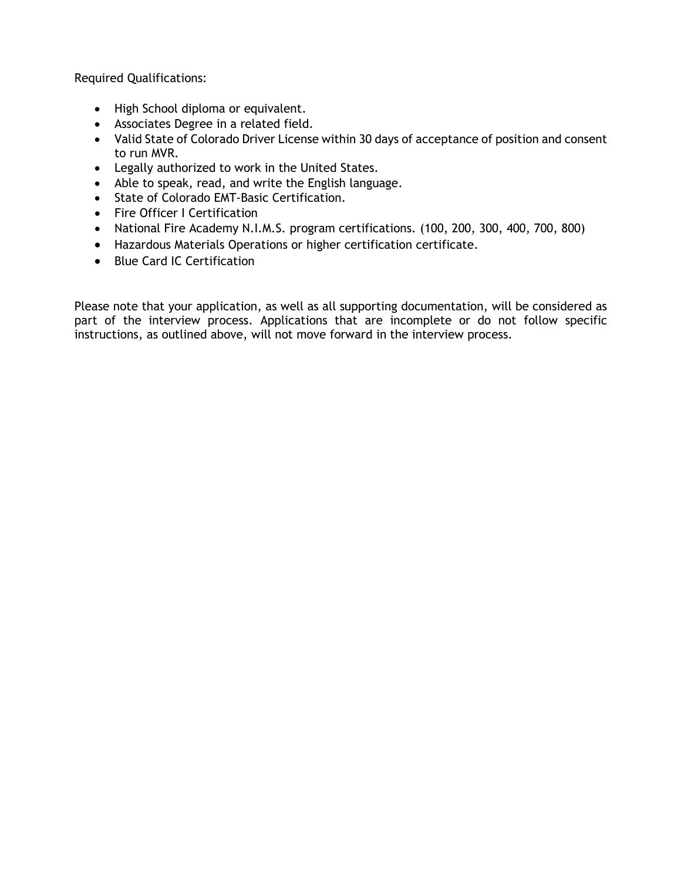Required Qualifications:

- High School diploma or equivalent.
- Associates Degree in a related field.
- Valid State of Colorado Driver License within 30 days of acceptance of position and consent to run MVR.
- Legally authorized to work in the United States.
- Able to speak, read, and write the English language.
- State of Colorado EMT-Basic Certification.
- Fire Officer I Certification
- National Fire Academy N.I.M.S. program certifications. (100, 200, 300, 400, 700, 800)
- Hazardous Materials Operations or higher certification certificate.
- Blue Card IC Certification

Please note that your application, as well as all supporting documentation, will be considered as part of the interview process. Applications that are incomplete or do not follow specific instructions, as outlined above, will not move forward in the interview process.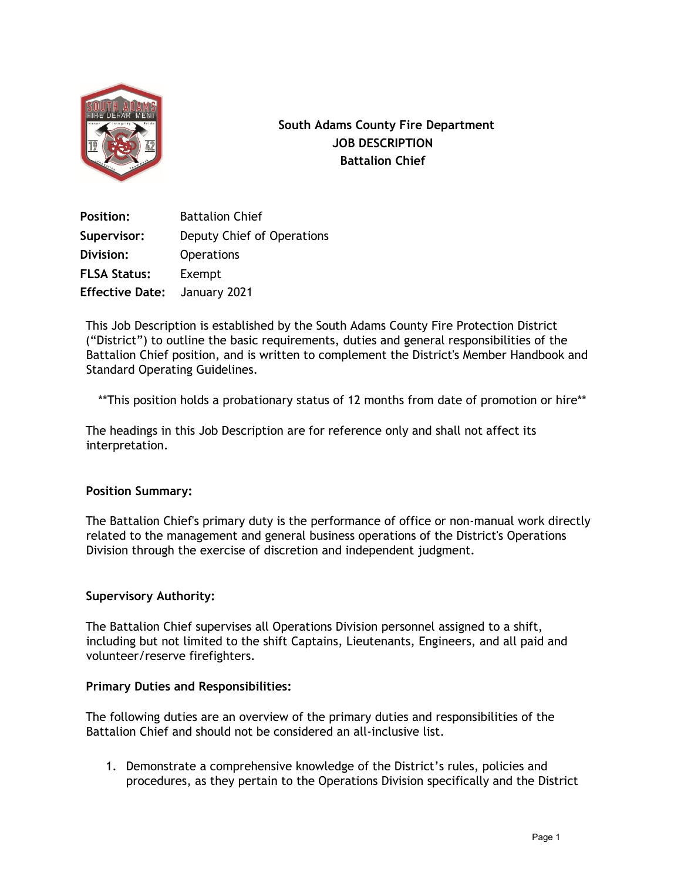

**South Adams County Fire Department JOB DESCRIPTION Battalion Chief**

**Position:** Battalion Chief **Supervisor:** Deputy Chief of Operations **Division:** Operations **FLSA Status:** Exempt **Effective Date:** January 2021

This Job Description is established by the South Adams County Fire Protection District ("District") to outline the basic requirements, duties and general responsibilities of the Battalion Chief position, and is written to complement the District's Member Handbook and Standard Operating Guidelines.

\*\*This position holds a probationary status of 12 months from date of promotion or hire\*\*

The headings in this Job Description are for reference only and shall not affect its interpretation.

### **Position Summary:**

The Battalion Chief's primary duty is the performance of office or non-manual work directly related to the management and general business operations of the District's Operations Division through the exercise of discretion and independent judgment.

#### **Supervisory Authority:**

The Battalion Chief supervises all Operations Division personnel assigned to a shift, including but not limited to the shift Captains, Lieutenants, Engineers, and all paid and volunteer/reserve firefighters.

#### **Primary Duties and Responsibilities:**

The following duties are an overview of the primary duties and responsibilities of the Battalion Chief and should not be considered an all-inclusive list.

1. Demonstrate a comprehensive knowledge of the District's rules, policies and procedures, as they pertain to the Operations Division specifically and the District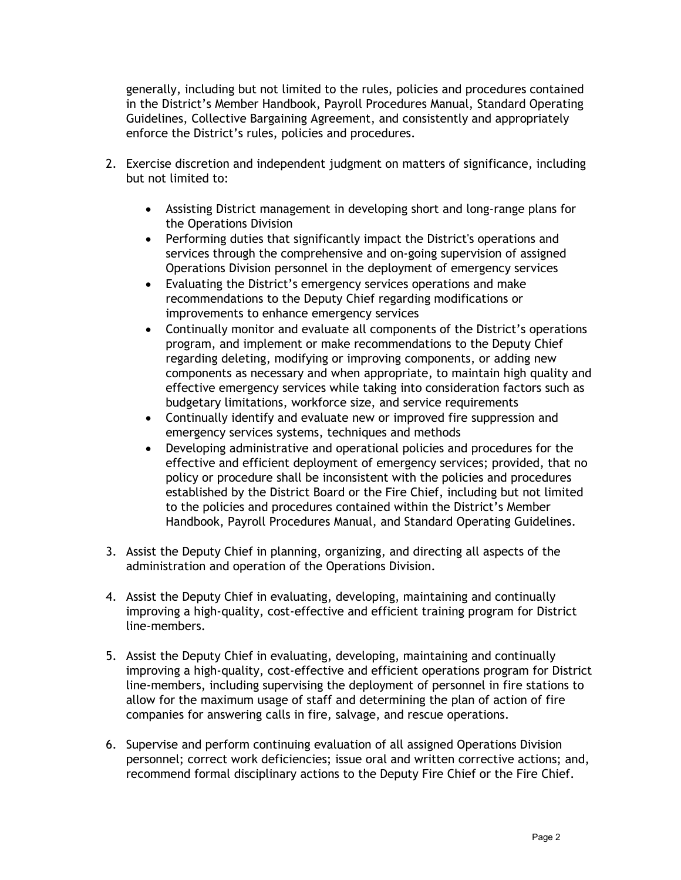generally, including but not limited to the rules, policies and procedures contained in the District's Member Handbook, Payroll Procedures Manual, Standard Operating Guidelines, Collective Bargaining Agreement, and consistently and appropriately enforce the District's rules, policies and procedures.

- 2. Exercise discretion and independent judgment on matters of significance, including but not limited to:
	- Assisting District management in developing short and long-range plans for the Operations Division
	- Performing duties that significantly impact the District's operations and services through the comprehensive and on-going supervision of assigned Operations Division personnel in the deployment of emergency services
	- Evaluating the District's emergency services operations and make recommendations to the Deputy Chief regarding modifications or improvements to enhance emergency services
	- Continually monitor and evaluate all components of the District's operations program, and implement or make recommendations to the Deputy Chief regarding deleting, modifying or improving components, or adding new components as necessary and when appropriate, to maintain high quality and effective emergency services while taking into consideration factors such as budgetary limitations, workforce size, and service requirements
	- Continually identify and evaluate new or improved fire suppression and emergency services systems, techniques and methods
	- Developing administrative and operational policies and procedures for the effective and efficient deployment of emergency services; provided, that no policy or procedure shall be inconsistent with the policies and procedures established by the District Board or the Fire Chief, including but not limited to the policies and procedures contained within the District's Member Handbook, Payroll Procedures Manual, and Standard Operating Guidelines.
- 3. Assist the Deputy Chief in planning, organizing, and directing all aspects of the administration and operation of the Operations Division.
- 4. Assist the Deputy Chief in evaluating, developing, maintaining and continually improving a high-quality, cost-effective and efficient training program for District line-members.
- 5. Assist the Deputy Chief in evaluating, developing, maintaining and continually improving a high-quality, cost-effective and efficient operations program for District line-members, including supervising the deployment of personnel in fire stations to allow for the maximum usage of staff and determining the plan of action of fire companies for answering calls in fire, salvage, and rescue operations.
- 6. Supervise and perform continuing evaluation of all assigned Operations Division personnel; correct work deficiencies; issue oral and written corrective actions; and, recommend formal disciplinary actions to the Deputy Fire Chief or the Fire Chief.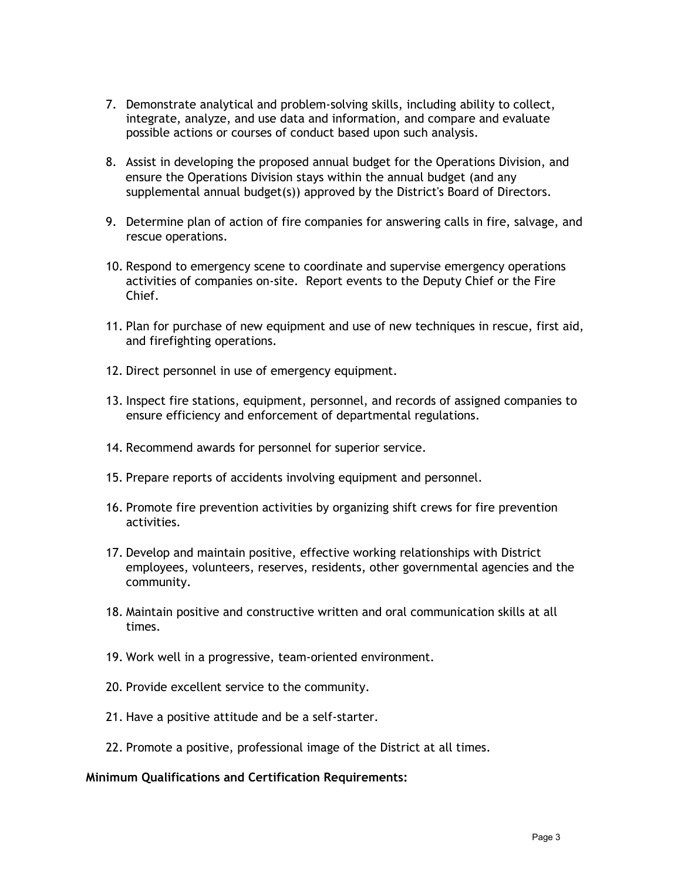- 7. Demonstrate analytical and problem-solving skills, including ability to collect, integrate, analyze, and use data and information, and compare and evaluate possible actions or courses of conduct based upon such analysis.
- 8. Assist in developing the proposed annual budget for the Operations Division, and ensure the Operations Division stays within the annual budget (and any supplemental annual budget(s)) approved by the District's Board of Directors.
- 9. Determine plan of action of fire companies for answering calls in fire, salvage, and rescue operations.
- 10. Respond to emergency scene to coordinate and supervise emergency operations activities of companies on-site. Report events to the Deputy Chief or the Fire Chief.
- 11. Plan for purchase of new equipment and use of new techniques in rescue, first aid, and firefighting operations.
- 12. Direct personnel in use of emergency equipment.
- 13. Inspect fire stations, equipment, personnel, and records of assigned companies to ensure efficiency and enforcement of departmental regulations.
- 14. Recommend awards for personnel for superior service.
- 15. Prepare reports of accidents involving equipment and personnel.
- 16. Promote fire prevention activities by organizing shift crews for fire prevention activities.
- 17. Develop and maintain positive, effective working relationships with District employees, volunteers, reserves, residents, other governmental agencies and the community.
- 18. Maintain positive and constructive written and oral communication skills at all times.
- 19. Work well in a progressive, team-oriented environment.
- 20. Provide excellent service to the community.
- 21. Have a positive attitude and be a self-starter.
- 22. Promote a positive, professional image of the District at all times.

#### **Minimum Qualifications and Certification Requirements:**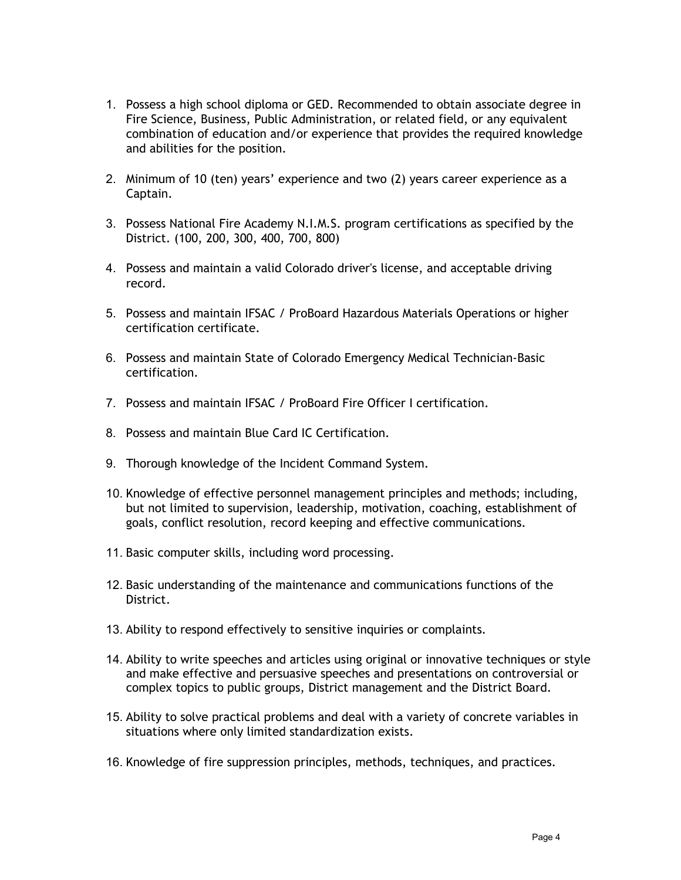- 1. Possess a high school diploma or GED. Recommended to obtain associate degree in Fire Science, Business, Public Administration, or related field, or any equivalent combination of education and/or experience that provides the required knowledge and abilities for the position.
- 2. Minimum of 10 (ten) years' experience and two (2) years career experience as a Captain.
- 3. Possess National Fire Academy N.I.M.S. program certifications as specified by the District. (100, 200, 300, 400, 700, 800)
- 4. Possess and maintain a valid Colorado driver's license, and acceptable driving record.
- 5. Possess and maintain IFSAC / ProBoard Hazardous Materials Operations or higher certification certificate.
- 6. Possess and maintain State of Colorado Emergency Medical Technician-Basic certification.
- 7. Possess and maintain IFSAC / ProBoard Fire Officer I certification.
- 8. Possess and maintain Blue Card IC Certification.
- 9. Thorough knowledge of the Incident Command System.
- 10. Knowledge of effective personnel management principles and methods; including, but not limited to supervision, leadership, motivation, coaching, establishment of goals, conflict resolution, record keeping and effective communications.
- 11. Basic computer skills, including word processing.
- 12. Basic understanding of the maintenance and communications functions of the District.
- 13. Ability to respond effectively to sensitive inquiries or complaints.
- 14. Ability to write speeches and articles using original or innovative techniques or style and make effective and persuasive speeches and presentations on controversial or complex topics to public groups, District management and the District Board.
- 15. Ability to solve practical problems and deal with a variety of concrete variables in situations where only limited standardization exists.
- 16. Knowledge of fire suppression principles, methods, techniques, and practices.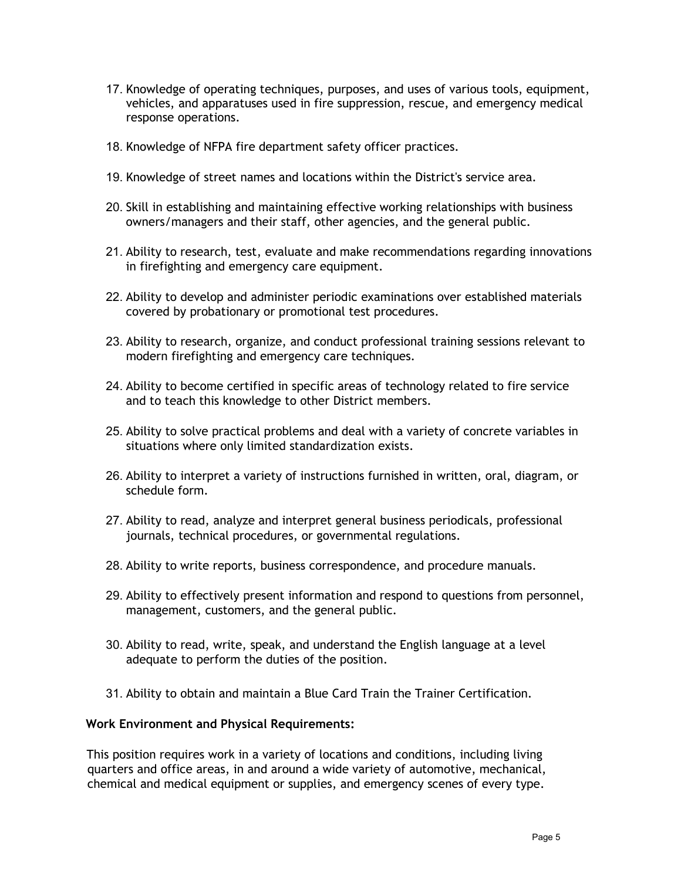- 17. Knowledge of operating techniques, purposes, and uses of various tools, equipment, vehicles, and apparatuses used in fire suppression, rescue, and emergency medical response operations.
- 18. Knowledge of NFPA fire department safety officer practices.
- 19. Knowledge of street names and locations within the District's service area.
- 20. Skill in establishing and maintaining effective working relationships with business owners/managers and their staff, other agencies, and the general public.
- 21. Ability to research, test, evaluate and make recommendations regarding innovations in firefighting and emergency care equipment.
- 22. Ability to develop and administer periodic examinations over established materials covered by probationary or promotional test procedures.
- 23. Ability to research, organize, and conduct professional training sessions relevant to modern firefighting and emergency care techniques.
- 24. Ability to become certified in specific areas of technology related to fire service and to teach this knowledge to other District members.
- 25. Ability to solve practical problems and deal with a variety of concrete variables in situations where only limited standardization exists.
- 26. Ability to interpret a variety of instructions furnished in written, oral, diagram, or schedule form.
- 27. Ability to read, analyze and interpret general business periodicals, professional journals, technical procedures, or governmental regulations.
- 28. Ability to write reports, business correspondence, and procedure manuals.
- 29. Ability to effectively present information and respond to questions from personnel, management, customers, and the general public.
- 30. Ability to read, write, speak, and understand the English language at a level adequate to perform the duties of the position.
- 31. Ability to obtain and maintain a Blue Card Train the Trainer Certification.

#### **Work Environment and Physical Requirements:**

This position requires work in a variety of locations and conditions, including living quarters and office areas, in and around a wide variety of automotive, mechanical, chemical and medical equipment or supplies, and emergency scenes of every type.